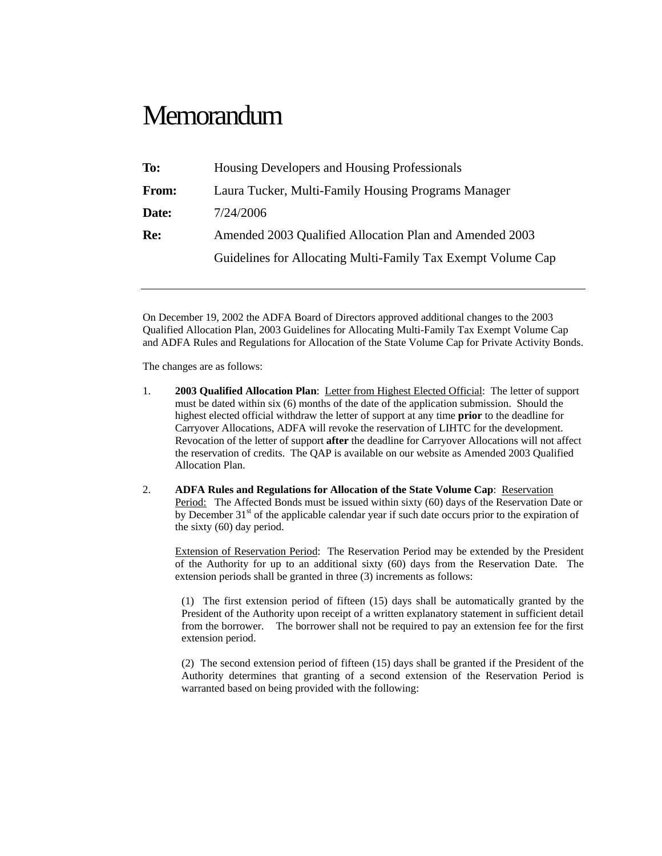## **Memorandum**

| To:   | Housing Developers and Housing Professionals                 |
|-------|--------------------------------------------------------------|
| From: | Laura Tucker, Multi-Family Housing Programs Manager          |
| Date: | 7/24/2006                                                    |
| Re:   | Amended 2003 Qualified Allocation Plan and Amended 2003      |
|       | Guidelines for Allocating Multi-Family Tax Exempt Volume Cap |
|       |                                                              |

On December 19, 2002 the ADFA Board of Directors approved additional changes to the 2003 Qualified Allocation Plan, 2003 Guidelines for Allocating Multi-Family Tax Exempt Volume Cap and ADFA Rules and Regulations for Allocation of the State Volume Cap for Private Activity Bonds.

The changes are as follows:

- 1. **2003 Qualified Allocation Plan**: Letter from Highest Elected Official: The letter of support must be dated within six (6) months of the date of the application submission. Should the highest elected official withdraw the letter of support at any time **prior** to the deadline for Carryover Allocations, ADFA will revoke the reservation of LIHTC for the development. Revocation of the letter of support **after** the deadline for Carryover Allocations will not affect the reservation of credits. The QAP is available on our website as Amended 2003 Qualified Allocation Plan.
- 2. **ADFA Rules and Regulations for Allocation of the State Volume Cap**: Reservation Period: The Affected Bonds must be issued within sixty (60) days of the Reservation Date or by December  $31<sup>st</sup>$  of the applicable calendar year if such date occurs prior to the expiration of the sixty (60) day period.

Extension of Reservation Period: The Reservation Period may be extended by the President of the Authority for up to an additional sixty (60) days from the Reservation Date. The extension periods shall be granted in three (3) increments as follows:

(1) The first extension period of fifteen (15) days shall be automatically granted by the President of the Authority upon receipt of a written explanatory statement in sufficient detail from the borrower. The borrower shall not be required to pay an extension fee for the first extension period.

(2) The second extension period of fifteen (15) days shall be granted if the President of the Authority determines that granting of a second extension of the Reservation Period is warranted based on being provided with the following: